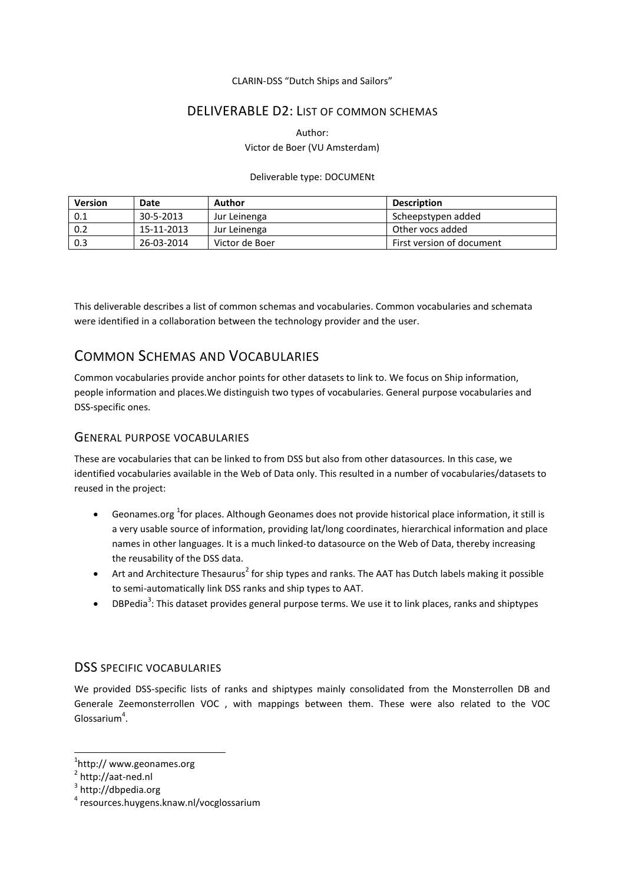### CLARIN-DSS "Dutch Ships and Sailors"

## DELIVERABLE D2: LIST OF COMMON SCHEMAS

Author: Victor de Boer (VU Amsterdam)

### Deliverable type: DOCUMENt

| Version | Date       | Author         | <b>Description</b>        |
|---------|------------|----------------|---------------------------|
| 0.1     | 30-5-2013  | Jur Leinenga   | Scheepstypen added        |
| 0.2     | 15-11-2013 | Jur Leinenga   | Other vocs added          |
| 0.3     | 26-03-2014 | Victor de Boer | First version of document |

This deliverable describes a list of common schemas and vocabularies. Common vocabularies and schemata were identified in a collaboration between the technology provider and the user.

# COMMON SCHEMAS AND VOCABULARIES

Common vocabularies provide anchor points for other datasets to link to. We focus on Ship information, people information and places.We distinguish two types of vocabularies. General purpose vocabularies and DSS-specific ones.

### GENERAL PURPOSE VOCABULARIES

These are vocabularies that can be linked to from DSS but also from other datasources. In this case, we identified vocabularies available in the Web of Data only. This resulted in a number of vocabularies/datasets to reused in the project:

- **•** Geonames.org <sup>1</sup> for places. Although Geonames does not provide historical place information, it still is a very usable source of information, providing lat/long coordinates, hierarchical information and place names in other languages. It is a much linked-to datasource on the Web of Data, thereby increasing the reusability of the DSS data.
- Art and Architecture Thesaurus<sup>2</sup> for ship types and ranks. The AAT has Dutch labels making it possible to semi-automatically link DSS ranks and ship types to AAT.
- $\bullet$  DBPedia<sup>3</sup>: This dataset provides general purpose terms. We use it to link places, ranks and shiptypes

## DSS SPECIFIC VOCABULARIES

We provided DSS-specific lists of ranks and shiptypes mainly consolidated from the Monsterrollen DB and Generale Zeemonsterrollen VOC , with mappings between them. These were also related to the VOC Glossarium<sup>4</sup>.

**.** 

<sup>1</sup> http:// www.geonames.org

<sup>&</sup>lt;sup>2</sup> http://aat-ned.nl

<sup>&</sup>lt;sup>3</sup> http://dbpedia.org

<sup>4</sup> resources.huygens.knaw.nl/vocglossarium